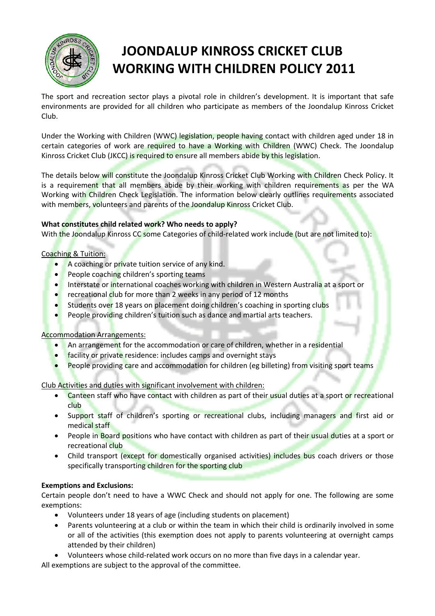

# **JOONDALUP KINROSS CRICKET CLUB WORKING WITH CHILDREN POLICY 2011**

The sport and recreation sector plays a pivotal role in children's development. It is important that safe environments are provided for all children who participate as members of the Joondalup Kinross Cricket Club.

Under the Working with Children (WWC) legislation, people having contact with children aged under 18 in certain categories of work are required to have a Working with Children (WWC) Check. The Joondalup Kinross Cricket Club (JKCC) is required to ensure all members abide by this legislation.

The details below will constitute the Joondalup Kinross Cricket Club Working with Children Check Policy. It is a requirement that all members abide by their working with children requirements as per the WA Working with Children Check Legislation. The information below clearly outlines requirements associated with members, volunteers and parents of the Joondalup Kinross Cricket Club.

# **What constitutes child related work? Who needs to apply?**

With the Joondalup Kinross CC some Categories of child-related work include (but are not limited to):

## Coaching & Tuition:

- A coaching or private tuition service of any kind.
- People coaching children's sporting teams
- Interstate or international coaches working with children in Western Australia at a sport or
- recreational club for more than 2 weeks in any period of 12 months
- Students over 18 years on placement doing children's coaching in sporting clubs
- People providing children's tuition such as dance and martial arts teachers.

# Accommodation Arrangements:

- An arrangement for the accommodation or care of children, whether in a residential
- facility or private residence: includes camps and overnight stays
- People providing care and accommodation for children (eg billeting) from visiting sport teams

Club Activities and duties with significant involvement with children:

- Canteen staff who have contact with children as part of their usual duties at a sport or recreational club
- Support staff of children's sporting or recreational clubs, including managers and first aid or medical staff
- People in Board positions who have contact with children as part of their usual duties at a sport or recreational club
- Child transport (except for domestically organised activities) includes bus coach drivers or those specifically transporting children for the sporting club

# **Exemptions and Exclusions:**

Certain people don't need to have a WWC Check and should not apply for one. The following are some exemptions:

- Volunteers under 18 years of age (including students on placement)
- Parents volunteering at a club or within the team in which their child is ordinarily involved in some or all of the activities (this exemption does not apply to parents volunteering at overnight camps attended by their children)
- Volunteers whose child-related work occurs on no more than five days in a calendar year.

All exemptions are subject to the approval of the committee.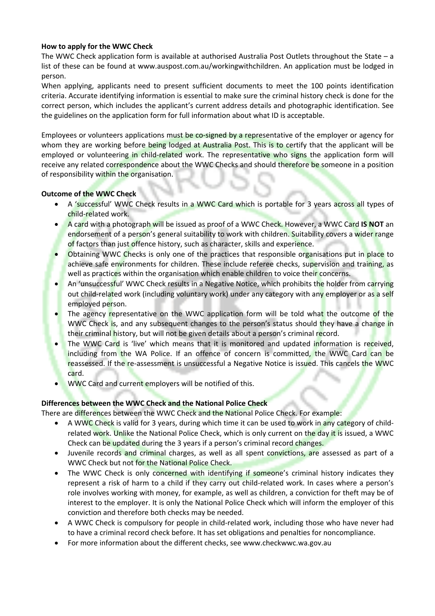## **How to apply for the WWC Check**

The WWC Check application form is available at authorised Australia Post Outlets throughout the State – a list of these can be found at www.auspost.com.au/workingwithchildren. An application must be lodged in person.

When applying, applicants need to present sufficient documents to meet the 100 points identification criteria. Accurate identifying information is essential to make sure the criminal history check is done for the correct person, which includes the applicant's current address details and photographic identification. See the guidelines on the application form for full information about what ID is acceptable.

Employees or volunteers applications must be co-signed by a representative of the employer or agency for whom they are working before being lodged at Australia Post. This is to certify that the applicant will be employed or volunteering in child-related work. The representative who signs the application form will receive any related correspondence about the WWC Checks and should therefore be someone in a position of responsibility within the organisation.

## **Outcome of the WWC Check**

- A 'successful' WWC Check results in a WWC Card which is portable for 3 years across all types of child-related work.
- A card with a photograph will be issued as proof of a WWC Check. However, a WWC Card **IS NOT** an endorsement of a person's general suitability to work with children. Suitability covers a wider range of factors than just offence history, such as character, skills and experience.
- Obtaining WWC Checks is only one of the practices that responsible organisations put in place to achieve safe environments for children. These include referee checks, supervision and training, as well as practices within the organisation which enable children to voice their concerns.
- An 'unsuccessful' WWC Check results in a Negative Notice, which prohibits the holder from carrying out child-related work (including voluntary work) under any category with any employer or as a self employed person.
- The agency representative on the WWC application form will be told what the outcome of the WWC Check is, and any subsequent changes to the person's status should they have a change in their criminal history, but will not be given details about a person's criminal record.
- The WWC Card is 'live' which means that it is monitored and updated information is received, including from the WA Police. If an offence of concern is committed, the WWC Card can be reassessed. If the re-assessment is unsuccessful a Negative Notice is issued. This cancels the WWC card.
- WWC Card and current employers will be notified of this.

#### **Differences between the WWC Check and the National Police Check**

There are differences between the WWC Check and the National Police Check. For example:

- A WWC Check is valid for 3 years, during which time it can be used to work in any category of childrelated work. Unlike the National Police Check, which is only current on the day it is issued, a WWC Check can be updated during the 3 years if a person's criminal record changes.
- Juvenile records and criminal charges, as well as all spent convictions, are assessed as part of a WWC Check but not for the National Police Check.
- The WWC Check is only concerned with identifying if someone's criminal history indicates they represent a risk of harm to a child if they carry out child-related work. In cases where a person's role involves working with money, for example, as well as children, a conviction for theft may be of interest to the employer. It is only the National Police Check which will inform the employer of this conviction and therefore both checks may be needed.
- A WWC Check is compulsory for people in child-related work, including those who have never had to have a criminal record check before. It has set obligations and penalties for noncompliance.
- For more information about the different checks, see www.checkwwc.wa.gov.au